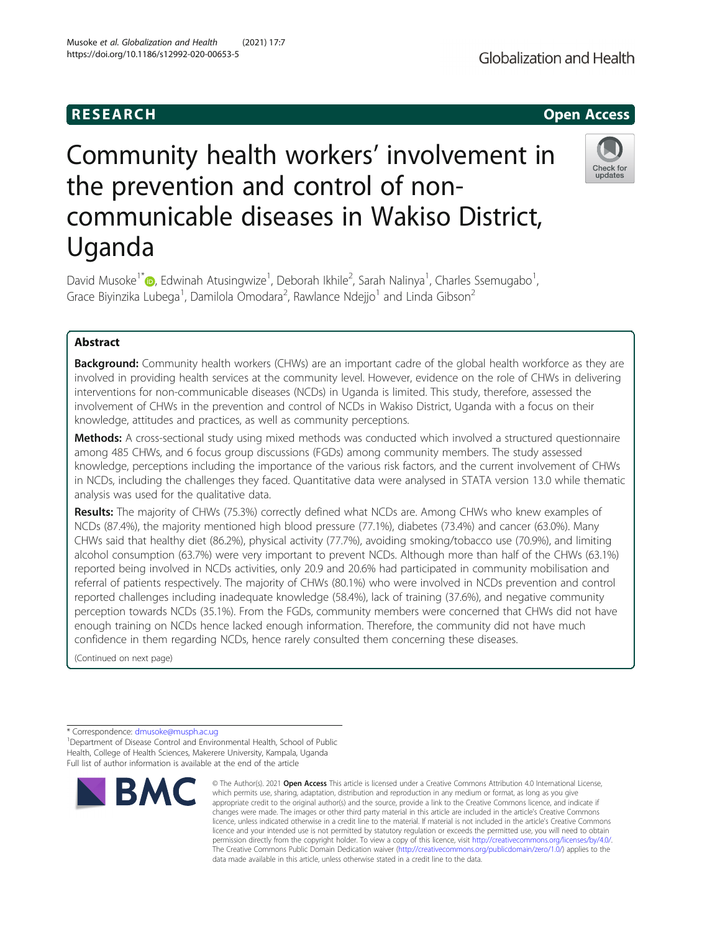# Community health workers' involvement in the prevention and control of noncommunicable diseases in Wakiso District, Uganda

David Musoke<sup>1\*</sup> (D[,](http://orcid.org/0000-0003-3262-3918) Edwinah Atusingwize<sup>1</sup>, Deborah Ikhile<sup>2</sup>, Sarah Nalinya<sup>1</sup>, Charles Ssemugabo<sup>1</sup> , Grace Biyinzika Lubega<sup>1</sup>, Damilola Omodara<sup>2</sup>, Rawlance Ndejjo<sup>1</sup> and Linda Gibson<sup>2</sup>

# Abstract

**Background:** Community health workers (CHWs) are an important cadre of the global health workforce as they are involved in providing health services at the community level. However, evidence on the role of CHWs in delivering interventions for non-communicable diseases (NCDs) in Uganda is limited. This study, therefore, assessed the involvement of CHWs in the prevention and control of NCDs in Wakiso District, Uganda with a focus on their knowledge, attitudes and practices, as well as community perceptions.

Methods: A cross-sectional study using mixed methods was conducted which involved a structured questionnaire among 485 CHWs, and 6 focus group discussions (FGDs) among community members. The study assessed knowledge, perceptions including the importance of the various risk factors, and the current involvement of CHWs in NCDs, including the challenges they faced. Quantitative data were analysed in STATA version 13.0 while thematic analysis was used for the qualitative data.

Results: The majority of CHWs (75.3%) correctly defined what NCDs are. Among CHWs who knew examples of NCDs (87.4%), the majority mentioned high blood pressure (77.1%), diabetes (73.4%) and cancer (63.0%). Many CHWs said that healthy diet (86.2%), physical activity (77.7%), avoiding smoking/tobacco use (70.9%), and limiting alcohol consumption (63.7%) were very important to prevent NCDs. Although more than half of the CHWs (63.1%) reported being involved in NCDs activities, only 20.9 and 20.6% had participated in community mobilisation and referral of patients respectively. The majority of CHWs (80.1%) who were involved in NCDs prevention and control reported challenges including inadequate knowledge (58.4%), lack of training (37.6%), and negative community perception towards NCDs (35.1%). From the FGDs, community members were concerned that CHWs did not have enough training on NCDs hence lacked enough information. Therefore, the community did not have much confidence in them regarding NCDs, hence rarely consulted them concerning these diseases.

(Continued on next page)

\* Correspondence: [dmusoke@musph.ac.ug](mailto:dmusoke@musph.ac.ug) <sup>1</sup>

<sup>1</sup>Department of Disease Control and Environmental Health, School of Public Health, College of Health Sciences, Makerere University, Kampala, Uganda Full list of author information is available at the end of the article



<sup>©</sup> The Author(s), 2021 **Open Access** This article is licensed under a Creative Commons Attribution 4.0 International License, which permits use, sharing, adaptation, distribution and reproduction in any medium or format, as long as you give appropriate credit to the original author(s) and the source, provide a link to the Creative Commons licence, and indicate if changes were made. The images or other third party material in this article are included in the article's Creative Commons licence, unless indicated otherwise in a credit line to the material. If material is not included in the article's Creative Commons licence and your intended use is not permitted by statutory regulation or exceeds the permitted use, you will need to obtain permission directly from the copyright holder. To view a copy of this licence, visit [http://creativecommons.org/licenses/by/4.0/.](http://creativecommons.org/licenses/by/4.0/) The Creative Commons Public Domain Dedication waiver [\(http://creativecommons.org/publicdomain/zero/1.0/](http://creativecommons.org/publicdomain/zero/1.0/)) applies to the data made available in this article, unless otherwise stated in a credit line to the data.



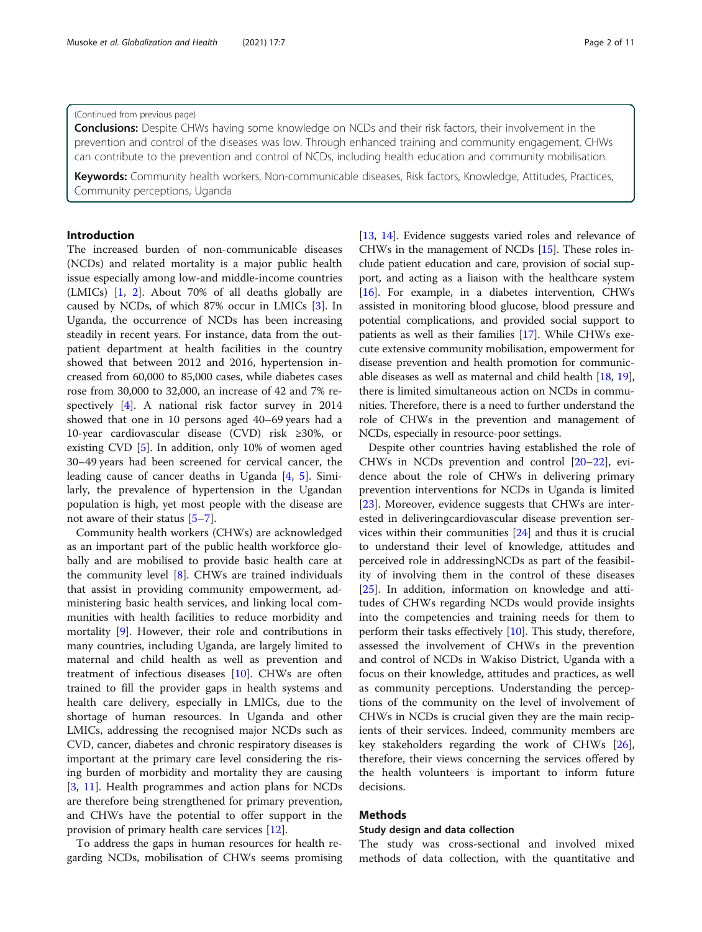# (Continued from previous page)

**Conclusions:** Despite CHWs having some knowledge on NCDs and their risk factors, their involvement in the prevention and control of the diseases was low. Through enhanced training and community engagement, CHWs can contribute to the prevention and control of NCDs, including health education and community mobilisation.

Keywords: Community health workers, Non-communicable diseases, Risk factors, Knowledge, Attitudes, Practices, Community perceptions, Uganda

# Introduction

The increased burden of non-communicable diseases (NCDs) and related mortality is a major public health issue especially among low-and middle-income countries (LMICs) [[1,](#page-9-0) [2](#page-9-0)]. About 70% of all deaths globally are caused by NCDs, of which 87% occur in LMICs [[3\]](#page-9-0). In Uganda, the occurrence of NCDs has been increasing steadily in recent years. For instance, data from the outpatient department at health facilities in the country showed that between 2012 and 2016, hypertension increased from 60,000 to 85,000 cases, while diabetes cases rose from 30,000 to 32,000, an increase of 42 and 7% respectively [\[4](#page-9-0)]. A national risk factor survey in 2014 showed that one in 10 persons aged 40–69 years had a 10-year cardiovascular disease (CVD) risk ≥30%, or existing CVD [\[5](#page-9-0)]. In addition, only 10% of women aged 30–49 years had been screened for cervical cancer, the leading cause of cancer deaths in Uganda [[4](#page-9-0), [5\]](#page-9-0). Similarly, the prevalence of hypertension in the Ugandan population is high, yet most people with the disease are not aware of their status [[5](#page-9-0)–[7](#page-9-0)].

Community health workers (CHWs) are acknowledged as an important part of the public health workforce globally and are mobilised to provide basic health care at the community level [\[8](#page-9-0)]. CHWs are trained individuals that assist in providing community empowerment, administering basic health services, and linking local communities with health facilities to reduce morbidity and mortality [[9\]](#page-9-0). However, their role and contributions in many countries, including Uganda, are largely limited to maternal and child health as well as prevention and treatment of infectious diseases [\[10](#page-9-0)]. CHWs are often trained to fill the provider gaps in health systems and health care delivery, especially in LMICs, due to the shortage of human resources. In Uganda and other LMICs, addressing the recognised major NCDs such as CVD, cancer, diabetes and chronic respiratory diseases is important at the primary care level considering the rising burden of morbidity and mortality they are causing [[3,](#page-9-0) [11\]](#page-9-0). Health programmes and action plans for NCDs are therefore being strengthened for primary prevention, and CHWs have the potential to offer support in the provision of primary health care services [\[12\]](#page-9-0).

To address the gaps in human resources for health regarding NCDs, mobilisation of CHWs seems promising [[13](#page-9-0), [14](#page-9-0)]. Evidence suggests varied roles and relevance of CHWs in the management of NCDs [[15](#page-9-0)]. These roles include patient education and care, provision of social support, and acting as a liaison with the healthcare system [[16](#page-9-0)]. For example, in a diabetes intervention, CHWs assisted in monitoring blood glucose, blood pressure and potential complications, and provided social support to patients as well as their families [[17](#page-9-0)]. While CHWs execute extensive community mobilisation, empowerment for disease prevention and health promotion for communicable diseases as well as maternal and child health [\[18,](#page-9-0) [19](#page-9-0)], there is limited simultaneous action on NCDs in communities. Therefore, there is a need to further understand the role of CHWs in the prevention and management of NCDs, especially in resource-poor settings.

Despite other countries having established the role of CHWs in NCDs prevention and control [[20](#page-9-0)–[22](#page-9-0)], evidence about the role of CHWs in delivering primary prevention interventions for NCDs in Uganda is limited [[23\]](#page-9-0). Moreover, evidence suggests that CHWs are interested in deliveringcardiovascular disease prevention services within their communities [\[24\]](#page-9-0) and thus it is crucial to understand their level of knowledge, attitudes and perceived role in addressingNCDs as part of the feasibility of involving them in the control of these diseases [[25\]](#page-9-0). In addition, information on knowledge and attitudes of CHWs regarding NCDs would provide insights into the competencies and training needs for them to perform their tasks effectively [[10\]](#page-9-0). This study, therefore, assessed the involvement of CHWs in the prevention and control of NCDs in Wakiso District, Uganda with a focus on their knowledge, attitudes and practices, as well as community perceptions. Understanding the perceptions of the community on the level of involvement of CHWs in NCDs is crucial given they are the main recipients of their services. Indeed, community members are key stakeholders regarding the work of CHWs [\[26](#page-9-0)], therefore, their views concerning the services offered by the health volunteers is important to inform future decisions.

# Methods

# Study design and data collection

The study was cross-sectional and involved mixed methods of data collection, with the quantitative and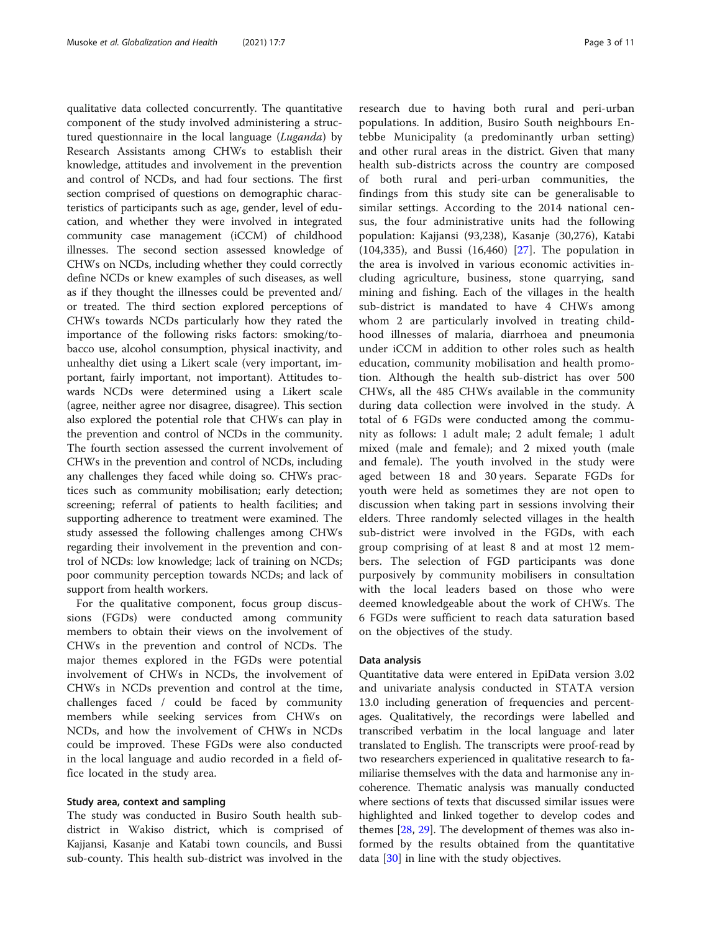qualitative data collected concurrently. The quantitative component of the study involved administering a structured questionnaire in the local language (Luganda) by Research Assistants among CHWs to establish their knowledge, attitudes and involvement in the prevention and control of NCDs, and had four sections. The first section comprised of questions on demographic characteristics of participants such as age, gender, level of education, and whether they were involved in integrated community case management (iCCM) of childhood illnesses. The second section assessed knowledge of CHWs on NCDs, including whether they could correctly define NCDs or knew examples of such diseases, as well as if they thought the illnesses could be prevented and/ or treated. The third section explored perceptions of CHWs towards NCDs particularly how they rated the importance of the following risks factors: smoking/tobacco use, alcohol consumption, physical inactivity, and unhealthy diet using a Likert scale (very important, important, fairly important, not important). Attitudes towards NCDs were determined using a Likert scale (agree, neither agree nor disagree, disagree). This section also explored the potential role that CHWs can play in the prevention and control of NCDs in the community. The fourth section assessed the current involvement of CHWs in the prevention and control of NCDs, including any challenges they faced while doing so. CHWs practices such as community mobilisation; early detection; screening; referral of patients to health facilities; and supporting adherence to treatment were examined. The study assessed the following challenges among CHWs regarding their involvement in the prevention and control of NCDs: low knowledge; lack of training on NCDs; poor community perception towards NCDs; and lack of support from health workers.

For the qualitative component, focus group discussions (FGDs) were conducted among community members to obtain their views on the involvement of CHWs in the prevention and control of NCDs. The major themes explored in the FGDs were potential involvement of CHWs in NCDs, the involvement of CHWs in NCDs prevention and control at the time, challenges faced / could be faced by community members while seeking services from CHWs on NCDs, and how the involvement of CHWs in NCDs could be improved. These FGDs were also conducted in the local language and audio recorded in a field office located in the study area.

## Study area, context and sampling

The study was conducted in Busiro South health subdistrict in Wakiso district, which is comprised of Kajjansi, Kasanje and Katabi town councils, and Bussi sub-county. This health sub-district was involved in the

research due to having both rural and peri-urban populations. In addition, Busiro South neighbours Entebbe Municipality (a predominantly urban setting) and other rural areas in the district. Given that many health sub-districts across the country are composed of both rural and peri-urban communities, the findings from this study site can be generalisable to similar settings. According to the 2014 national census, the four administrative units had the following population: Kajjansi (93,238), Kasanje (30,276), Katabi (104,335), and Bussi (16,460) [[27](#page-9-0)]. The population in the area is involved in various economic activities including agriculture, business, stone quarrying, sand mining and fishing. Each of the villages in the health sub-district is mandated to have 4 CHWs among whom 2 are particularly involved in treating childhood illnesses of malaria, diarrhoea and pneumonia under iCCM in addition to other roles such as health education, community mobilisation and health promotion. Although the health sub-district has over 500 CHWs, all the 485 CHWs available in the community during data collection were involved in the study. A total of 6 FGDs were conducted among the community as follows: 1 adult male; 2 adult female; 1 adult mixed (male and female); and 2 mixed youth (male and female). The youth involved in the study were aged between 18 and 30 years. Separate FGDs for youth were held as sometimes they are not open to discussion when taking part in sessions involving their elders. Three randomly selected villages in the health sub-district were involved in the FGDs, with each group comprising of at least 8 and at most 12 members. The selection of FGD participants was done purposively by community mobilisers in consultation with the local leaders based on those who were deemed knowledgeable about the work of CHWs. The 6 FGDs were sufficient to reach data saturation based on the objectives of the study.

# Data analysis

Quantitative data were entered in EpiData version 3.02 and univariate analysis conducted in STATA version 13.0 including generation of frequencies and percentages. Qualitatively, the recordings were labelled and transcribed verbatim in the local language and later translated to English. The transcripts were proof-read by two researchers experienced in qualitative research to familiarise themselves with the data and harmonise any incoherence. Thematic analysis was manually conducted where sections of texts that discussed similar issues were highlighted and linked together to develop codes and themes [\[28,](#page-9-0) [29\]](#page-9-0). The development of themes was also informed by the results obtained from the quantitative data [\[30\]](#page-9-0) in line with the study objectives.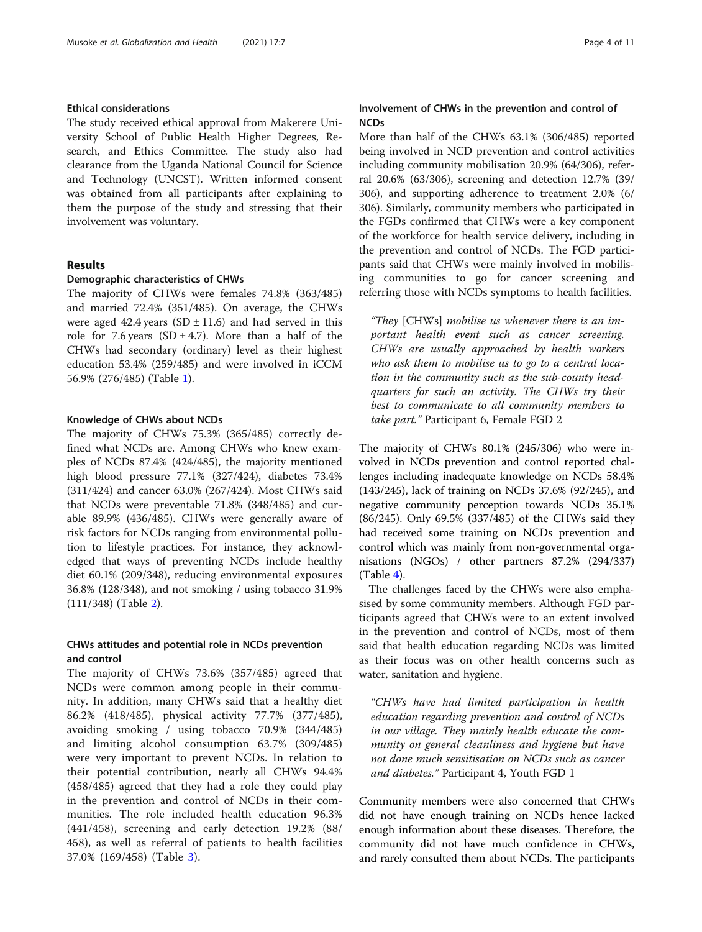# Ethical considerations

The study received ethical approval from Makerere University School of Public Health Higher Degrees, Research, and Ethics Committee. The study also had clearance from the Uganda National Council for Science and Technology (UNCST). Written informed consent was obtained from all participants after explaining to them the purpose of the study and stressing that their involvement was voluntary.

# Results

## Demographic characteristics of CHWs

The majority of CHWs were females 74.8% (363/485) and married 72.4% (351/485). On average, the CHWs were aged 42.4 years  $(SD \pm 11.6)$  and had served in this role for 7.6 years (SD  $\pm$  4.7). More than a half of the CHWs had secondary (ordinary) level as their highest education 53.4% (259/485) and were involved in iCCM 56.9% (276/485) (Table [1\)](#page-4-0).

### Knowledge of CHWs about NCDs

The majority of CHWs 75.3% (365/485) correctly defined what NCDs are. Among CHWs who knew examples of NCDs 87.4% (424/485), the majority mentioned high blood pressure 77.1% (327/424), diabetes 73.4% (311/424) and cancer 63.0% (267/424). Most CHWs said that NCDs were preventable 71.8% (348/485) and curable 89.9% (436/485). CHWs were generally aware of risk factors for NCDs ranging from environmental pollution to lifestyle practices. For instance, they acknowledged that ways of preventing NCDs include healthy diet 60.1% (209/348), reducing environmental exposures 36.8% (128/348), and not smoking / using tobacco 31.9% (111/348) (Table [2](#page-5-0)).

# CHWs attitudes and potential role in NCDs prevention and control

The majority of CHWs 73.6% (357/485) agreed that NCDs were common among people in their community. In addition, many CHWs said that a healthy diet 86.2% (418/485), physical activity 77.7% (377/485), avoiding smoking / using tobacco 70.9% (344/485) and limiting alcohol consumption 63.7% (309/485) were very important to prevent NCDs. In relation to their potential contribution, nearly all CHWs 94.4% (458/485) agreed that they had a role they could play in the prevention and control of NCDs in their communities. The role included health education 96.3% (441/458), screening and early detection 19.2% (88/ 458), as well as referral of patients to health facilities 37.0% (169/458) (Table [3\)](#page-6-0).

# Involvement of CHWs in the prevention and control of NCDs

More than half of the CHWs 63.1% (306/485) reported being involved in NCD prevention and control activities including community mobilisation 20.9% (64/306), referral 20.6% (63/306), screening and detection 12.7% (39/ 306), and supporting adherence to treatment 2.0% (6/ 306). Similarly, community members who participated in the FGDs confirmed that CHWs were a key component of the workforce for health service delivery, including in the prevention and control of NCDs. The FGD participants said that CHWs were mainly involved in mobilising communities to go for cancer screening and referring those with NCDs symptoms to health facilities.

"They [CHWs] mobilise us whenever there is an important health event such as cancer screening. CHWs are usually approached by health workers who ask them to mobilise us to go to a central location in the community such as the sub-county headquarters for such an activity. The CHWs try their best to communicate to all community members to take part." Participant 6, Female FGD 2

The majority of CHWs 80.1% (245/306) who were involved in NCDs prevention and control reported challenges including inadequate knowledge on NCDs 58.4% (143/245), lack of training on NCDs 37.6% (92/245), and negative community perception towards NCDs 35.1% (86/245). Only 69.5% (337/485) of the CHWs said they had received some training on NCDs prevention and control which was mainly from non-governmental organisations (NGOs) / other partners 87.2% (294/337)  $(Table 4)$  $(Table 4)$ .

The challenges faced by the CHWs were also emphasised by some community members. Although FGD participants agreed that CHWs were to an extent involved in the prevention and control of NCDs, most of them said that health education regarding NCDs was limited as their focus was on other health concerns such as water, sanitation and hygiene.

"CHWs have had limited participation in health education regarding prevention and control of NCDs in our village. They mainly health educate the community on general cleanliness and hygiene but have not done much sensitisation on NCDs such as cancer and diabetes." Participant 4, Youth FGD 1

Community members were also concerned that CHWs did not have enough training on NCDs hence lacked enough information about these diseases. Therefore, the community did not have much confidence in CHWs, and rarely consulted them about NCDs. The participants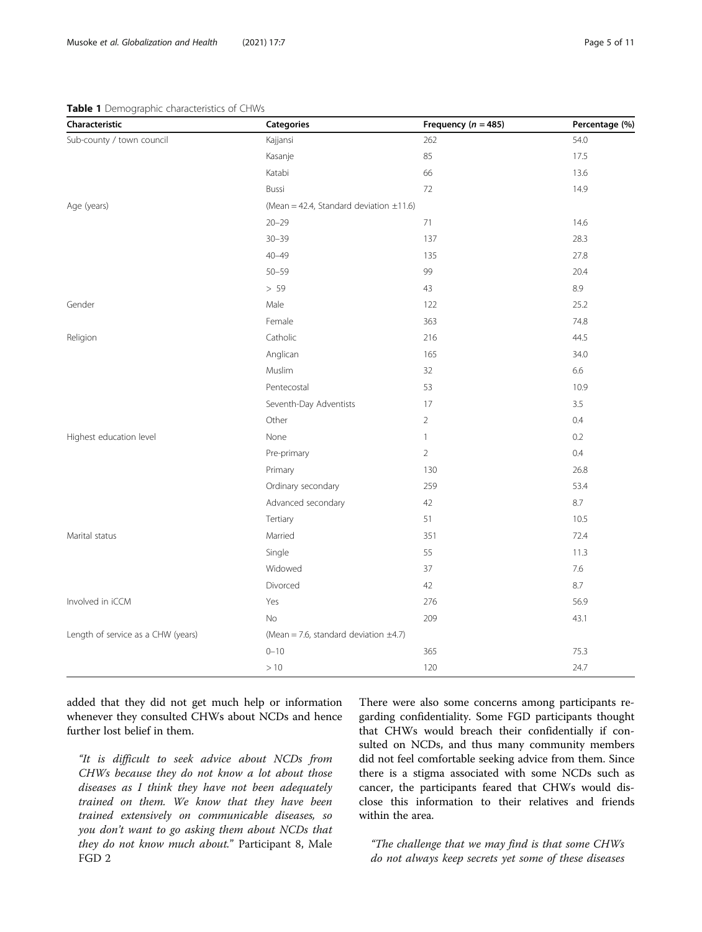# <span id="page-4-0"></span>Table 1 Demographic characteristics of CHWs

| Characteristic                     | <b>Categories</b>                            | Frequency ( $n = 485$ ) | Percentage (%) |  |
|------------------------------------|----------------------------------------------|-------------------------|----------------|--|
| Sub-county / town council          | Kajjansi                                     | 262                     | 54.0           |  |
|                                    | Kasanje                                      | 85                      | 17.5           |  |
|                                    | Katabi                                       | 66                      | 13.6           |  |
|                                    | Bussi                                        | 72                      | 14.9           |  |
| Age (years)                        | (Mean = 42.4, Standard deviation $\pm$ 11.6) |                         |                |  |
|                                    | $20 - 29$                                    | 71                      | 14.6           |  |
|                                    | $30 - 39$                                    | 137                     | 28.3           |  |
|                                    | $40 - 49$                                    | 135                     | 27.8           |  |
|                                    | $50 - 59$                                    | 99                      | 20.4           |  |
|                                    | $> 59$                                       | 43                      | 8.9            |  |
| Gender                             | Male                                         | 122                     | 25.2           |  |
|                                    | Female                                       | 363                     | 74.8           |  |
| Religion                           | Catholic                                     | 216                     | 44.5           |  |
|                                    | Anglican                                     | 165                     | 34.0           |  |
|                                    | Muslim                                       | 32                      | 6.6            |  |
|                                    | Pentecostal                                  | 53                      | 10.9           |  |
|                                    | Seventh-Day Adventists                       | 17                      | 3.5            |  |
|                                    | Other                                        | $\overline{2}$          | 0.4            |  |
| Highest education level            | None                                         | 1                       | 0.2            |  |
|                                    | Pre-primary                                  | $\overline{2}$          | 0.4            |  |
|                                    | Primary                                      | 130                     | 26.8           |  |
|                                    | Ordinary secondary                           | 259                     | 53.4           |  |
|                                    | Advanced secondary                           | 42                      | 8.7            |  |
|                                    | Tertiary                                     | 51                      | 10.5           |  |
| Marital status                     | Married                                      | 351                     | 72.4           |  |
|                                    | Single                                       | 55                      | 11.3           |  |
|                                    | Widowed                                      | 37                      | $7.6\,$        |  |
|                                    | Divorced                                     | 42                      | 8.7            |  |
| Involved in iCCM                   | Yes                                          | 276                     | 56.9           |  |
|                                    | No                                           | 209                     | 43.1           |  |
| Length of service as a CHW (years) | (Mean = 7.6, standard deviation $\pm$ 4.7)   |                         |                |  |
|                                    | $0 - 10$                                     | 365                     | 75.3           |  |
|                                    | >10                                          | 120                     | 24.7           |  |

added that they did not get much help or information whenever they consulted CHWs about NCDs and hence further lost belief in them.

"It is difficult to seek advice about NCDs from CHWs because they do not know a lot about those diseases as I think they have not been adequately trained on them. We know that they have been trained extensively on communicable diseases, so you don't want to go asking them about NCDs that they do not know much about." Participant 8, Male FGD 2

There were also some concerns among participants regarding confidentiality. Some FGD participants thought that CHWs would breach their confidentially if consulted on NCDs, and thus many community members did not feel comfortable seeking advice from them. Since there is a stigma associated with some NCDs such as cancer, the participants feared that CHWs would disclose this information to their relatives and friends within the area.

"The challenge that we may find is that some CHWs do not always keep secrets yet some of these diseases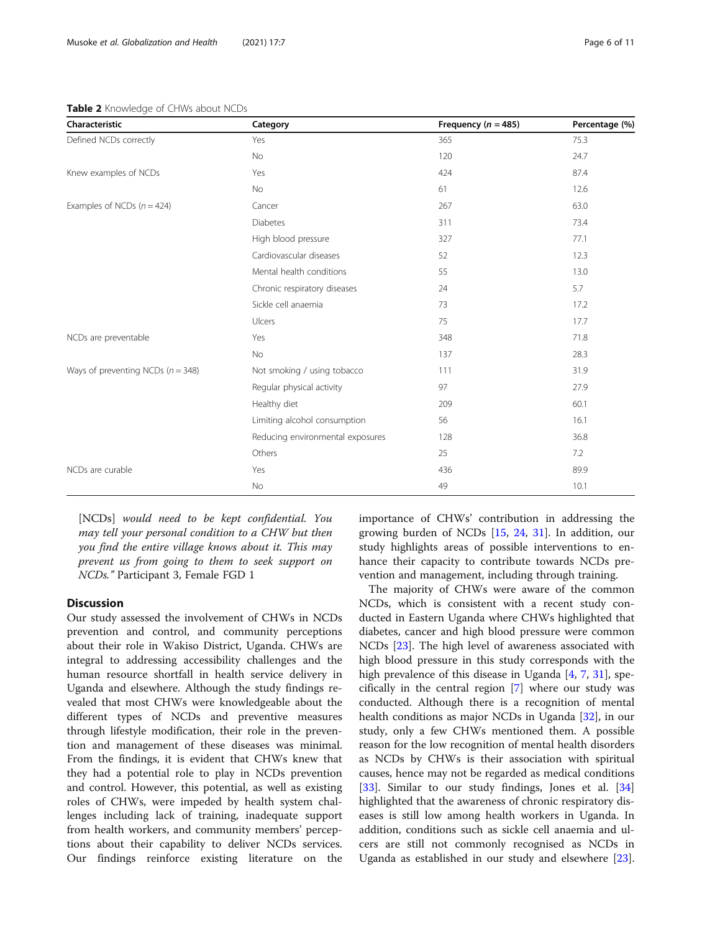#### <span id="page-5-0"></span>Table 2 Knowledge of CHWs about NCDs

| Characteristic                        | Category                         | Frequency ( $n = 485$ ) | Percentage (%) |
|---------------------------------------|----------------------------------|-------------------------|----------------|
| Defined NCDs correctly                | Yes                              | 365                     | 75.3           |
|                                       | No                               | 120                     | 24.7           |
| Knew examples of NCDs                 | Yes                              | 424                     | 87.4           |
|                                       | <b>No</b>                        | 61                      | 12.6           |
| Examples of NCDs $(n = 424)$          | Cancer                           | 267                     | 63.0           |
|                                       | Diabetes                         | 311                     | 73.4           |
|                                       | High blood pressure              | 327                     | 77.1           |
|                                       | Cardiovascular diseases          | 52                      | 12.3           |
|                                       | Mental health conditions         | 55                      | 13.0           |
|                                       | Chronic respiratory diseases     | 24                      | 5.7            |
|                                       | Sickle cell anaemia              | 73                      | 17.2           |
|                                       | Ulcers                           | 75                      | 17.7           |
| NCDs are preventable                  | Yes                              | 348                     | 71.8           |
|                                       | No                               | 137                     | 28.3           |
| Ways of preventing NCDs ( $n = 348$ ) | Not smoking / using tobacco      | 111                     | 31.9           |
|                                       | Regular physical activity        | 97                      | 27.9           |
|                                       | Healthy diet                     | 209                     | 60.1           |
|                                       | Limiting alcohol consumption     | 56                      | 16.1           |
|                                       | Reducing environmental exposures | 128                     | 36.8           |
|                                       | Others                           | 25                      | 7.2            |
| NCDs are curable                      | Yes                              | 436                     | 89.9           |
|                                       | No                               | 49                      | 10.1           |

[NCDs] would need to be kept confidential. You may tell your personal condition to a CHW but then you find the entire village knows about it. This may prevent us from going to them to seek support on NCDs." Participant 3, Female FGD 1

# **Discussion**

Our study assessed the involvement of CHWs in NCDs prevention and control, and community perceptions about their role in Wakiso District, Uganda. CHWs are integral to addressing accessibility challenges and the human resource shortfall in health service delivery in Uganda and elsewhere. Although the study findings revealed that most CHWs were knowledgeable about the different types of NCDs and preventive measures through lifestyle modification, their role in the prevention and management of these diseases was minimal. From the findings, it is evident that CHWs knew that they had a potential role to play in NCDs prevention and control. However, this potential, as well as existing roles of CHWs, were impeded by health system challenges including lack of training, inadequate support from health workers, and community members' perceptions about their capability to deliver NCDs services. Our findings reinforce existing literature on the importance of CHWs' contribution in addressing the growing burden of NCDs [[15,](#page-9-0) [24,](#page-9-0) [31](#page-9-0)]. In addition, our study highlights areas of possible interventions to enhance their capacity to contribute towards NCDs prevention and management, including through training.

The majority of CHWs were aware of the common NCDs, which is consistent with a recent study conducted in Eastern Uganda where CHWs highlighted that diabetes, cancer and high blood pressure were common NCDs [[23\]](#page-9-0). The high level of awareness associated with high blood pressure in this study corresponds with the high prevalence of this disease in Uganda [[4,](#page-9-0) [7,](#page-9-0) [31](#page-9-0)], specifically in the central region [\[7](#page-9-0)] where our study was conducted. Although there is a recognition of mental health conditions as major NCDs in Uganda [[32\]](#page-9-0), in our study, only a few CHWs mentioned them. A possible reason for the low recognition of mental health disorders as NCDs by CHWs is their association with spiritual causes, hence may not be regarded as medical conditions [[33\]](#page-9-0). Similar to our study findings, Jones et al. [[34](#page-10-0)] highlighted that the awareness of chronic respiratory diseases is still low among health workers in Uganda. In addition, conditions such as sickle cell anaemia and ulcers are still not commonly recognised as NCDs in Uganda as established in our study and elsewhere [\[23](#page-9-0)].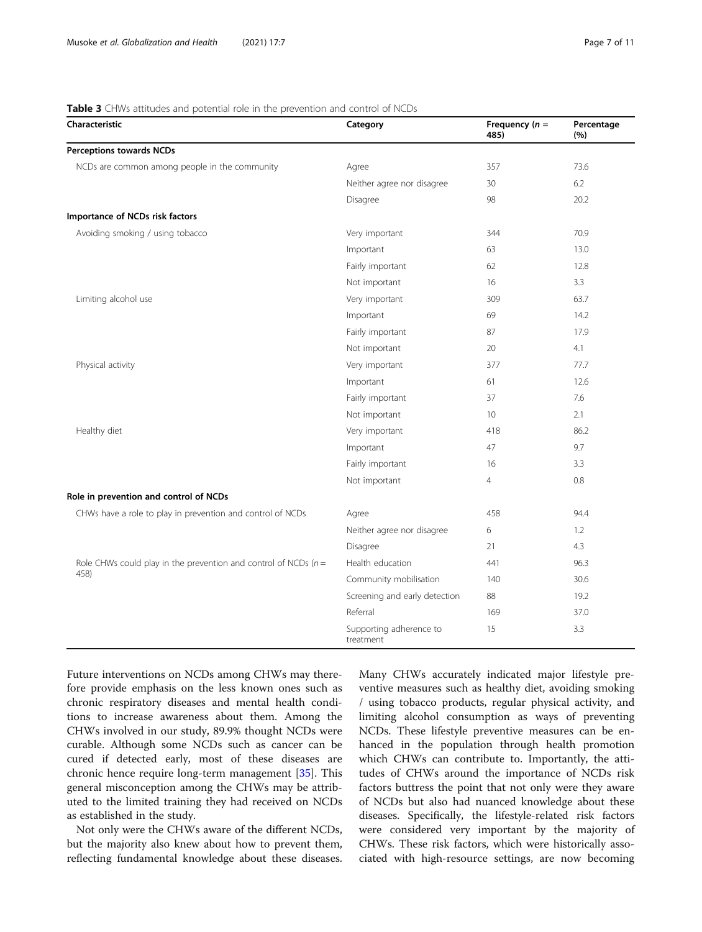# <span id="page-6-0"></span>Table 3 CHWs attitudes and potential role in the prevention and control of NCDs

| Characteristic                                                     | Category                             | Frequency $(n =$<br>485) | Percentage<br>(%) |
|--------------------------------------------------------------------|--------------------------------------|--------------------------|-------------------|
| <b>Perceptions towards NCDs</b>                                    |                                      |                          |                   |
| NCDs are common among people in the community                      | Agree                                | 357                      | 73.6              |
|                                                                    | Neither agree nor disagree           | 30                       | 6.2               |
|                                                                    | Disagree                             | 98                       | 20.2              |
| Importance of NCDs risk factors                                    |                                      |                          |                   |
| Avoiding smoking / using tobacco                                   | Very important                       | 344                      | 70.9              |
|                                                                    | Important                            | 63                       | 13.0              |
|                                                                    | Fairly important                     | 62                       | 12.8              |
|                                                                    | Not important                        | 16                       | 3.3               |
| Limiting alcohol use                                               | Very important                       | 309                      | 63.7              |
|                                                                    | Important                            | 69                       | 14.2              |
|                                                                    | Fairly important                     | 87                       | 17.9              |
|                                                                    | Not important                        | 20                       | 4.1               |
| Physical activity                                                  | Very important                       | 377                      | 77.7              |
|                                                                    | Important                            | 61                       | 12.6              |
|                                                                    | Fairly important                     | 37                       | 7.6               |
|                                                                    | Not important                        | 10                       | 2.1               |
| Healthy diet                                                       | Very important                       | 418                      | 86.2              |
|                                                                    | Important                            | 47                       | 9.7               |
|                                                                    | Fairly important                     | 16                       | 3.3               |
|                                                                    | Not important                        | $\overline{4}$           | 0.8               |
| Role in prevention and control of NCDs                             |                                      |                          |                   |
| CHWs have a role to play in prevention and control of NCDs         | Agree                                | 458                      | 94.4              |
|                                                                    | Neither agree nor disagree           | 6                        | 1.2               |
|                                                                    | Disagree                             | 21                       | 4.3               |
| Role CHWs could play in the prevention and control of NCDs ( $n =$ | Health education                     | 441                      | 96.3              |
| 458)                                                               | Community mobilisation               | 140                      | 30.6              |
|                                                                    | Screening and early detection        | 88                       | 19.2              |
|                                                                    | Referral                             | 169                      | 37.0              |
|                                                                    | Supporting adherence to<br>treatment | 15                       | 3.3               |

Future interventions on NCDs among CHWs may therefore provide emphasis on the less known ones such as chronic respiratory diseases and mental health conditions to increase awareness about them. Among the CHWs involved in our study, 89.9% thought NCDs were curable. Although some NCDs such as cancer can be cured if detected early, most of these diseases are chronic hence require long-term management [[35\]](#page-10-0). This general misconception among the CHWs may be attributed to the limited training they had received on NCDs as established in the study.

Not only were the CHWs aware of the different NCDs, but the majority also knew about how to prevent them, reflecting fundamental knowledge about these diseases. Many CHWs accurately indicated major lifestyle preventive measures such as healthy diet, avoiding smoking / using tobacco products, regular physical activity, and limiting alcohol consumption as ways of preventing NCDs. These lifestyle preventive measures can be enhanced in the population through health promotion which CHWs can contribute to. Importantly, the attitudes of CHWs around the importance of NCDs risk factors buttress the point that not only were they aware of NCDs but also had nuanced knowledge about these diseases. Specifically, the lifestyle-related risk factors were considered very important by the majority of CHWs. These risk factors, which were historically associated with high-resource settings, are now becoming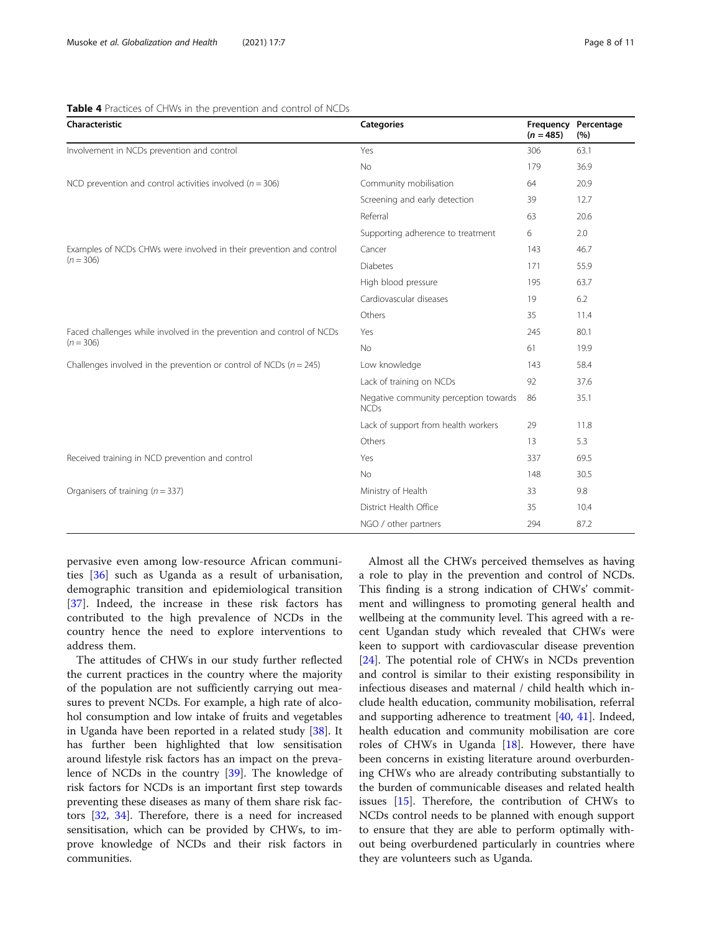# <span id="page-7-0"></span>Table 4 Practices of CHWs in the prevention and control of NCDs

| Characteristic                                                        | <b>Categories</b>                                    | $(n = 485)$ | Frequency Percentage<br>(%) |
|-----------------------------------------------------------------------|------------------------------------------------------|-------------|-----------------------------|
| Involvement in NCDs prevention and control                            | Yes                                                  | 306         | 63.1                        |
|                                                                       | <b>No</b>                                            | 179         | 36.9                        |
| NCD prevention and control activities involved ( $n = 306$ )          | Community mobilisation                               | 64          | 20.9                        |
|                                                                       | Screening and early detection                        | 39          | 12.7                        |
|                                                                       | Referral                                             | 63          | 20.6                        |
|                                                                       | Supporting adherence to treatment                    | 6           | 2.0                         |
| Examples of NCDs CHWs were involved in their prevention and control   | Cancer                                               | 143         | 46.7                        |
| $(n = 306)$                                                           | <b>Diabetes</b>                                      | 171         | 55.9                        |
|                                                                       | High blood pressure                                  | 195         | 63.7                        |
|                                                                       | Cardiovascular diseases                              | 19          | 6.2                         |
|                                                                       | Others                                               | 35          | 11.4                        |
| Faced challenges while involved in the prevention and control of NCDs | Yes                                                  | 245         | 80.1                        |
| $(n = 306)$                                                           | <b>No</b>                                            | 61          | 19.9                        |
| Challenges involved in the prevention or control of NCDs $(n = 245)$  | Low knowledge                                        | 143         | 58.4                        |
|                                                                       | Lack of training on NCDs                             | 92          | 37.6                        |
|                                                                       | Negative community perception towards<br><b>NCDs</b> | 86          | 35.1                        |
|                                                                       | Lack of support from health workers                  | 29          | 11.8                        |
|                                                                       | Others                                               | 13          | 5.3                         |
| Received training in NCD prevention and control                       | Yes                                                  | 337         | 69.5                        |
|                                                                       | <b>No</b>                                            | 148         | 30.5                        |
| Organisers of training ( $n = 337$ )                                  | Ministry of Health                                   | 33          | 9.8                         |
|                                                                       | District Health Office                               | 35          | 10.4                        |
|                                                                       | NGO / other partners                                 | 294         | 87.2                        |

pervasive even among low-resource African communities [\[36](#page-10-0)] such as Uganda as a result of urbanisation, demographic transition and epidemiological transition [[37\]](#page-10-0). Indeed, the increase in these risk factors has contributed to the high prevalence of NCDs in the country hence the need to explore interventions to address them.

The attitudes of CHWs in our study further reflected the current practices in the country where the majority of the population are not sufficiently carrying out measures to prevent NCDs. For example, a high rate of alcohol consumption and low intake of fruits and vegetables in Uganda have been reported in a related study [\[38](#page-10-0)]. It has further been highlighted that low sensitisation around lifestyle risk factors has an impact on the prevalence of NCDs in the country [[39\]](#page-10-0). The knowledge of risk factors for NCDs is an important first step towards preventing these diseases as many of them share risk factors [[32](#page-9-0), [34](#page-10-0)]. Therefore, there is a need for increased sensitisation, which can be provided by CHWs, to improve knowledge of NCDs and their risk factors in communities.

Almost all the CHWs perceived themselves as having a role to play in the prevention and control of NCDs. This finding is a strong indication of CHWs' commitment and willingness to promoting general health and wellbeing at the community level. This agreed with a recent Ugandan study which revealed that CHWs were keen to support with cardiovascular disease prevention [[24\]](#page-9-0). The potential role of CHWs in NCDs prevention and control is similar to their existing responsibility in infectious diseases and maternal / child health which include health education, community mobilisation, referral and supporting adherence to treatment [\[40](#page-10-0), [41\]](#page-10-0). Indeed, health education and community mobilisation are core roles of CHWs in Uganda [\[18](#page-9-0)]. However, there have been concerns in existing literature around overburdening CHWs who are already contributing substantially to the burden of communicable diseases and related health issues [\[15](#page-9-0)]. Therefore, the contribution of CHWs to NCDs control needs to be planned with enough support to ensure that they are able to perform optimally without being overburdened particularly in countries where they are volunteers such as Uganda.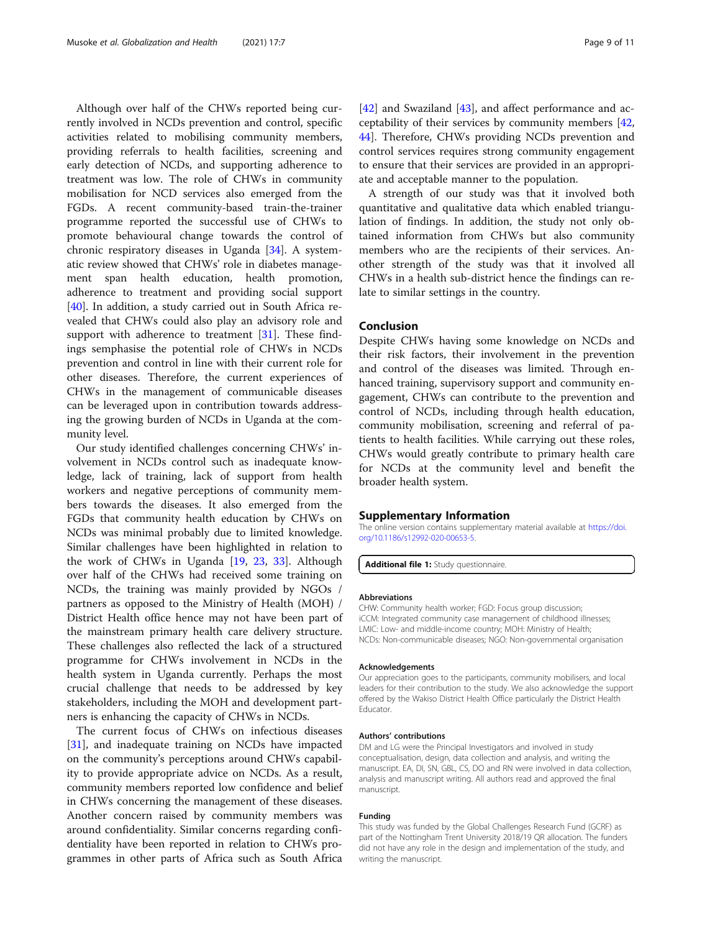Although over half of the CHWs reported being currently involved in NCDs prevention and control, specific activities related to mobilising community members, providing referrals to health facilities, screening and early detection of NCDs, and supporting adherence to treatment was low. The role of CHWs in community mobilisation for NCD services also emerged from the FGDs. A recent community-based train-the-trainer programme reported the successful use of CHWs to promote behavioural change towards the control of chronic respiratory diseases in Uganda [\[34](#page-10-0)]. A systematic review showed that CHWs' role in diabetes management span health education, health promotion, adherence to treatment and providing social support [[40\]](#page-10-0). In addition, a study carried out in South Africa revealed that CHWs could also play an advisory role and support with adherence to treatment [\[31\]](#page-9-0). These findings semphasise the potential role of CHWs in NCDs prevention and control in line with their current role for other diseases. Therefore, the current experiences of CHWs in the management of communicable diseases can be leveraged upon in contribution towards addressing the growing burden of NCDs in Uganda at the community level.

Our study identified challenges concerning CHWs' involvement in NCDs control such as inadequate knowledge, lack of training, lack of support from health workers and negative perceptions of community members towards the diseases. It also emerged from the FGDs that community health education by CHWs on NCDs was minimal probably due to limited knowledge. Similar challenges have been highlighted in relation to the work of CHWs in Uganda [\[19](#page-9-0), [23,](#page-9-0) [33\]](#page-9-0). Although over half of the CHWs had received some training on NCDs, the training was mainly provided by NGOs / partners as opposed to the Ministry of Health (MOH) / District Health office hence may not have been part of the mainstream primary health care delivery structure. These challenges also reflected the lack of a structured programme for CHWs involvement in NCDs in the health system in Uganda currently. Perhaps the most crucial challenge that needs to be addressed by key stakeholders, including the MOH and development partners is enhancing the capacity of CHWs in NCDs.

The current focus of CHWs on infectious diseases [[31\]](#page-9-0), and inadequate training on NCDs have impacted on the community's perceptions around CHWs capability to provide appropriate advice on NCDs. As a result, community members reported low confidence and belief in CHWs concerning the management of these diseases. Another concern raised by community members was around confidentiality. Similar concerns regarding confidentiality have been reported in relation to CHWs programmes in other parts of Africa such as South Africa

[[42\]](#page-10-0) and Swaziland [\[43\]](#page-10-0), and affect performance and acceptability of their services by community members [[42](#page-10-0), [44\]](#page-10-0). Therefore, CHWs providing NCDs prevention and control services requires strong community engagement to ensure that their services are provided in an appropriate and acceptable manner to the population.

A strength of our study was that it involved both quantitative and qualitative data which enabled triangulation of findings. In addition, the study not only obtained information from CHWs but also community members who are the recipients of their services. Another strength of the study was that it involved all CHWs in a health sub-district hence the findings can relate to similar settings in the country.

# Conclusion

Despite CHWs having some knowledge on NCDs and their risk factors, their involvement in the prevention and control of the diseases was limited. Through enhanced training, supervisory support and community engagement, CHWs can contribute to the prevention and control of NCDs, including through health education, community mobilisation, screening and referral of patients to health facilities. While carrying out these roles, CHWs would greatly contribute to primary health care for NCDs at the community level and benefit the broader health system.

#### Supplementary Information

The online version contains supplementary material available at [https://doi.](https://doi.org/10.1186/s12992-020-00653-5) [org/10.1186/s12992-020-00653-5.](https://doi.org/10.1186/s12992-020-00653-5)

Additional file 1: Study questionnaire

#### Abbreviations

CHW: Community health worker; FGD: Focus group discussion; iCCM: Integrated community case management of childhood illnesses; LMIC: Low- and middle-income country; MOH: Ministry of Health; NCDs: Non-communicable diseases; NGO: Non-governmental organisation

#### Acknowledgements

Our appreciation goes to the participants, community mobilisers, and local leaders for their contribution to the study. We also acknowledge the support offered by the Wakiso District Health Office particularly the District Health Educator.

#### Authors' contributions

DM and LG were the Principal Investigators and involved in study conceptualisation, design, data collection and analysis, and writing the manuscript. EA, DI, SN, GBL, CS, DO and RN were involved in data collection, analysis and manuscript writing. All authors read and approved the final manuscript.

#### Funding

This study was funded by the Global Challenges Research Fund (GCRF) as part of the Nottingham Trent University 2018/19 QR allocation. The funders did not have any role in the design and implementation of the study, and writing the manuscript.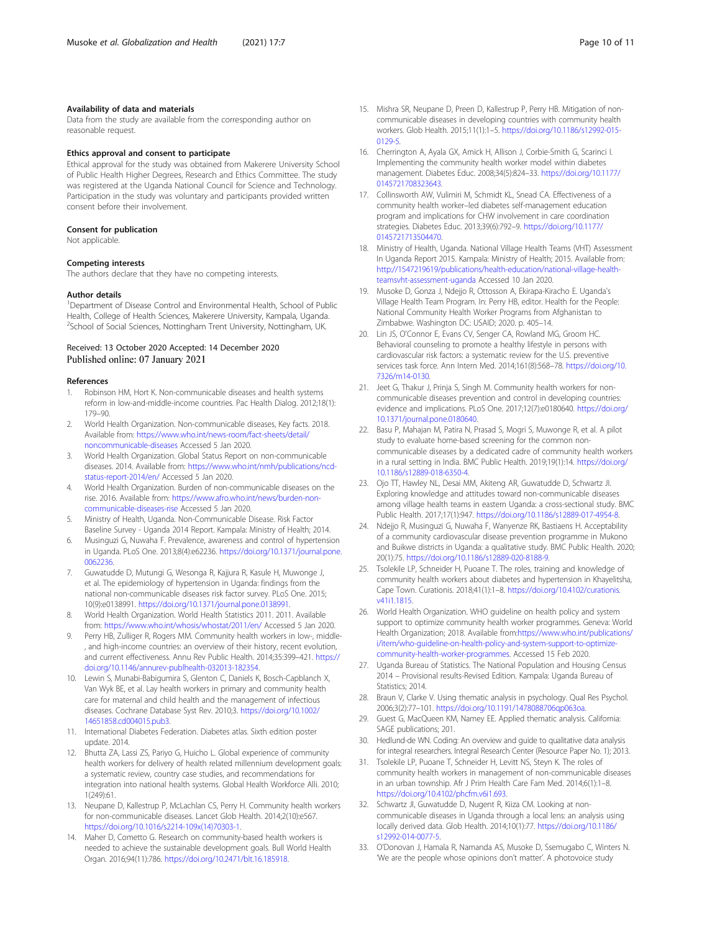# <span id="page-9-0"></span>Availability of data and materials

Data from the study are available from the corresponding author on reasonable request.

### Ethics approval and consent to participate

Ethical approval for the study was obtained from Makerere University School of Public Health Higher Degrees, Research and Ethics Committee. The study was registered at the Uganda National Council for Science and Technology. Participation in the study was voluntary and participants provided written consent before their involvement.

# Consent for publication

Not applicable.

#### Competing interests

The authors declare that they have no competing interests.

#### Author details

<sup>1</sup>Department of Disease Control and Environmental Health, School of Public Health, College of Health Sciences, Makerere University, Kampala, Uganda. <sup>2</sup>School of Social Sciences, Nottingham Trent University, Nottingham, UK.

# Received: 13 October 2020 Accepted: 14 December 2020 Published online: 07 January 2021

#### References

- 1. Robinson HM, Hort K. Non-communicable diseases and health systems reform in low-and-middle-income countries. Pac Health Dialog. 2012;18(1): 179–90.
- 2. World Health Organization. Non-communicable diseases, Key facts. 2018. Available from: [https://www.who.int/news-room/fact-sheets/detail/](https://www.who.int/news-room/fact-sheets/detail/noncommunicable-diseases) [noncommunicable-diseases](https://www.who.int/news-room/fact-sheets/detail/noncommunicable-diseases) Accessed 5 Jan 2020.
- 3. World Health Organization. Global Status Report on non-communicable diseases. 2014. Available from: [https://www.who.int/nmh/publications/ncd](https://www.who.int/nmh/publications/ncd-status-report-2014/en/)[status-report-2014/en/](https://www.who.int/nmh/publications/ncd-status-report-2014/en/) Accessed 5 Jan 2020.
- 4. World Health Organization. Burden of non-communicable diseases on the rise. 2016. Available from: [https://www.afro.who.int/news/burden-non](https://www.afro.who.int/news/burden-non-communicable-diseases-rise)[communicable-diseases-rise](https://www.afro.who.int/news/burden-non-communicable-diseases-rise) Accessed 5 Jan 2020.
- 5. Ministry of Health, Uganda. Non-Communicable Disease. Risk Factor Baseline Survey - Uganda 2014 Report. Kampala: Ministry of Health; 2014.
- 6. Musinguzi G, Nuwaha F. Prevalence, awareness and control of hypertension in Uganda. PLoS One. 2013;8(4):e62236. [https://doi.org/10.1371/journal.pone.](https://doi.org/10.1371/journal.pone.0062236) [0062236.](https://doi.org/10.1371/journal.pone.0062236)
- 7. Guwatudde D, Mutungi G, Wesonga R, Kajjura R, Kasule H, Muwonge J, et al. The epidemiology of hypertension in Uganda: findings from the national non-communicable diseases risk factor survey. PLoS One. 2015; 10(9):e0138991. <https://doi.org/10.1371/journal.pone.0138991>.
- 8. World Health Organization. World Health Statistics 2011. 2011. Available from: <https://www.who.int/whosis/whostat/2011/en/> Accessed 5 Jan 2020.
- 9. Perry HB, Zulliger R, Rogers MM. Community health workers in low-, middle- , and high-income countries: an overview of their history, recent evolution, and current effectiveness. Annu Rev Public Health. 2014;35:399–421. [https://](https://doi.org/10.1146/annurev-publhealth-032013-182354) [doi.org/10.1146/annurev-publhealth-032013-182354](https://doi.org/10.1146/annurev-publhealth-032013-182354).
- 10. Lewin S, Munabi-Babigumira S, Glenton C, Daniels K, Bosch-Capblanch X, Van Wyk BE, et al. Lay health workers in primary and community health care for maternal and child health and the management of infectious diseases. Cochrane Database Syst Rev. 2010;3. [https://doi.org/10.1002/](https://doi.org/10.1002/14651858.cd004015.pub3) [14651858.cd004015.pub3.](https://doi.org/10.1002/14651858.cd004015.pub3)
- 11. International Diabetes Federation. Diabetes atlas. Sixth edition poster update. 2014.
- 12. Bhutta ZA, Lassi ZS, Pariyo G, Huicho L. Global experience of community health workers for delivery of health related millennium development goals: a systematic review, country case studies, and recommendations for integration into national health systems. Global Health Workforce Alli. 2010; 1(249):61.
- 13. Neupane D, Kallestrup P, McLachlan CS, Perry H. Community health workers for non-communicable diseases. Lancet Glob Health. 2014;2(10):e567. [https://doi.org/10.1016/s2214-109x\(14\)70303-1.](https://doi.org/10.1016/s2214-109x(14)70303-1)
- 14. Maher D, Cometto G. Research on community-based health workers is needed to achieve the sustainable development goals. Bull World Health Organ. 2016;94(11):786. <https://doi.org/10.2471/blt.16.185918>.
- 15. Mishra SR, Neupane D, Preen D, Kallestrup P, Perry HB. Mitigation of noncommunicable diseases in developing countries with community health workers. Glob Health. 2015;11(1):1–5. [https://doi.org/10.1186/s12992-015-](https://doi.org/10.1186/s12992-015-0129-5) [0129-5.](https://doi.org/10.1186/s12992-015-0129-5)
- 16. Cherrington A, Ayala GX, Amick H, Allison J, Corbie-Smith G, Scarinci I. Implementing the community health worker model within diabetes management. Diabetes Educ. 2008;34(5):824–33. [https://doi.org/10.1177/](https://doi.org/10.1177/0145721708323643) [0145721708323643](https://doi.org/10.1177/0145721708323643).
- 17. Collinsworth AW, Vulimiri M, Schmidt KL, Snead CA. Effectiveness of a community health worker–led diabetes self-management education program and implications for CHW involvement in care coordination strategies. Diabetes Educ. 2013;39(6):792–9. [https://doi.org/10.1177/](https://doi.org/10.1177/0145721713504470) [0145721713504470](https://doi.org/10.1177/0145721713504470).
- 18. Ministry of Health, Uganda. National Village Health Teams (VHT) Assessment In Uganda Report 2015. Kampala: Ministry of Health; 2015. Available from: [http://1547219619/publications/health-education/national-village-health](http://92.56.178.163/publications/health-education/national-village-health-teamsvht-assessment-uganda)[teamsvht-assessment-uganda](http://92.56.178.163/publications/health-education/national-village-health-teamsvht-assessment-uganda) Accessed 10 Jan 2020.
- 19. Musoke D, Gonza J, Ndejjo R, Ottosson A, Ekirapa-Kiracho E. Uganda's Village Health Team Program. In: Perry HB, editor. Health for the People: National Community Health Worker Programs from Afghanistan to Zimbabwe. Washington DC: USAID; 2020. p. 405–14.
- 20. Lin JS, O'Connor E, Evans CV, Senger CA, Rowland MG, Groom HC. Behavioral counseling to promote a healthy lifestyle in persons with cardiovascular risk factors: a systematic review for the U.S. preventive services task force. Ann Intern Med. 2014;161(8):568–78. [https://doi.org/10.](https://doi.org/10.7326/m14-0130) [7326/m14-0130](https://doi.org/10.7326/m14-0130).
- 21. Jeet G, Thakur J, Prinja S, Singh M. Community health workers for noncommunicable diseases prevention and control in developing countries: evidence and implications. PLoS One. 2017;12(7):e0180640. [https://doi.org/](https://doi.org/10.1371/journal.pone.0180640) [10.1371/journal.pone.0180640](https://doi.org/10.1371/journal.pone.0180640).
- 22. Basu P, Mahajan M, Patira N, Prasad S, Mogri S, Muwonge R, et al. A pilot study to evaluate home-based screening for the common noncommunicable diseases by a dedicated cadre of community health workers in a rural setting in India. BMC Public Health. 2019;19(1):14. [https://doi.org/](https://doi.org/10.1186/s12889-018-6350-4) [10.1186/s12889-018-6350-4](https://doi.org/10.1186/s12889-018-6350-4).
- 23. Ojo TT, Hawley NL, Desai MM, Akiteng AR, Guwatudde D, Schwartz JI. Exploring knowledge and attitudes toward non-communicable diseases among village health teams in eastern Uganda: a cross-sectional study. BMC Public Health. 2017;17(1):947. [https://doi.org/10.1186/s12889-017-4954-8.](https://doi.org/10.1186/s12889-017-4954-8)
- 24. Ndejjo R, Musinguzi G, Nuwaha F, Wanyenze RK, Bastiaens H. Acceptability of a community cardiovascular disease prevention programme in Mukono and Buikwe districts in Uganda: a qualitative study. BMC Public Health. 2020; 20(1):75. <https://doi.org/10.1186/s12889-020-8188-9>.
- 25. Tsolekile LP, Schneider H, Puoane T. The roles, training and knowledge of community health workers about diabetes and hypertension in Khayelitsha, Cape Town. Curationis. 2018;41(1):1–8. [https://doi.org/10.4102/curationis.](https://doi.org/10.4102/curationis.v41i1.1815) [v41i1.1815](https://doi.org/10.4102/curationis.v41i1.1815).
- 26. World Health Organization. WHO guideline on health policy and system support to optimize community health worker programmes. Geneva: World Health Organization; 2018. Available from[:https://www.who.int/publications/](https://www.who.int/publications/i/item/who-guideline-on-health-policy-and-system-support-to-optimize-community-health-worker-programmes) [i/item/who-guideline-on-health-policy-and-system-support-to-optimize](https://www.who.int/publications/i/item/who-guideline-on-health-policy-and-system-support-to-optimize-community-health-worker-programmes)[community-health-worker-programmes](https://www.who.int/publications/i/item/who-guideline-on-health-policy-and-system-support-to-optimize-community-health-worker-programmes). Accessed 15 Feb 2020.
- 27. Uganda Bureau of Statistics. The National Population and Housing Census 2014 – Provisional results-Revised Edition. Kampala: Uganda Bureau of Statistics: 2014.
- 28. Braun V, Clarke V. Using thematic analysis in psychology. Qual Res Psychol. 2006;3(2):77–101. [https://doi.org/10.1191/1478088706qp063oa.](https://doi.org/10.1191/1478088706qp063oa)
- 29. Guest G, MacQueen KM, Namey EE. Applied thematic analysis. California: SAGE publications; 201.
- 30. Hedlund-de WN. Coding: An overview and guide to qualitative data analysis for integral researchers. Integral Research Center (Resource Paper No. 1); 2013.
- 31. Tsolekile LP, Puoane T, Schneider H, Levitt NS, Steyn K. The roles of community health workers in management of non-communicable diseases in an urban township. Afr J Prim Health Care Fam Med. 2014;6(1):1–8. <https://doi.org/10.4102/phcfm.v6i1.693>.
- 32. Schwartz JI, Guwatudde D, Nugent R, Kiiza CM. Looking at noncommunicable diseases in Uganda through a local lens: an analysis using locally derived data. Glob Health. 2014;10(1):77. [https://doi.org/10.1186/](https://doi.org/10.1186/s12992-014-0077-5) [s12992-014-0077-5.](https://doi.org/10.1186/s12992-014-0077-5)
- 33. O'Donovan J, Hamala R, Namanda AS, Musoke D, Ssemugabo C, Winters N. 'We are the people whose opinions don't matter'. A photovoice study